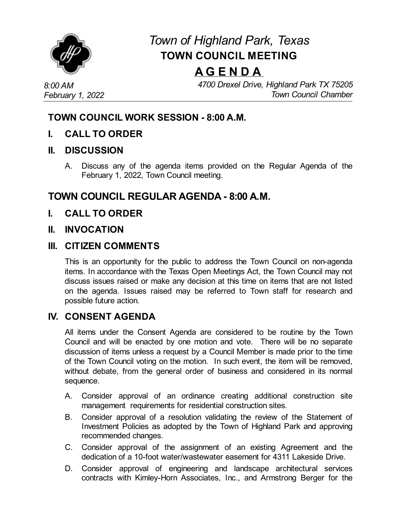

# *Town of Highland Park, Texas* **TOWN COUNCIL MEETING**

# **A G E N D A**

*4700 Drexel Drive, Highland Park TX 75205 Town Council Chamber*

# **TOWN COUNCIL WORK SESSION - 8:00 A.M.**

**I. CALL TO ORDER**

#### **II. DISCUSSION**

A. Discuss any of the agenda items provided on the Regular Agenda of the February 1, 2022, Town Council meeting.

# **TOWN COUNCIL REGULAR AGENDA - 8:00 A.M.**

**I. CALL TO ORDER**

### **II. INVOCATION**

### **III. CITIZEN COMMENTS**

This is an opportunity for the public to address the Town Council on non-agenda items. In accordance with the Texas Open Meetings Act, the Town Council may not discuss issues raised or make any decision at this time on items that are not listed on the agenda. Issues raised may be referred to Town staff for research and possible future action.

### **IV. CONSENT AGENDA**

All items under the Consent Agenda are considered to be routine by the Town Council and will be enacted by one motion and vote. There will be no separate discussion of items unless a request by a Council Member is made prior to the time of the Town Council voting on the motion. In such event, the item will be removed, without debate, from the general order of business and considered in its normal sequence.

- A. Consider approval of an ordinance creating additional [construction](file:///C:/Windows/TEMP/CoverSheet.aspx?ItemID=4531&MeetingID=737) site management requirements for residential construction sites.
- B. Consider approval of a resolution validating the review of the Statement of Investment Policies as adopted by the Town of Highland Park and approving [recommended](file:///C:/Windows/TEMP/CoverSheet.aspx?ItemID=4516&MeetingID=737) changes.
- C. Consider approval of the assignment of an existing Agreement and the dedication of a 10-foot water/wastewater easement for 4311 Lakeside Drive.
- D. Consider approval of engineering and landscape architectural services contracts with [Kimley-Horn](file:///C:/Windows/TEMP/CoverSheet.aspx?ItemID=4543&MeetingID=737) Associates, Inc., and Armstrong Berger for the